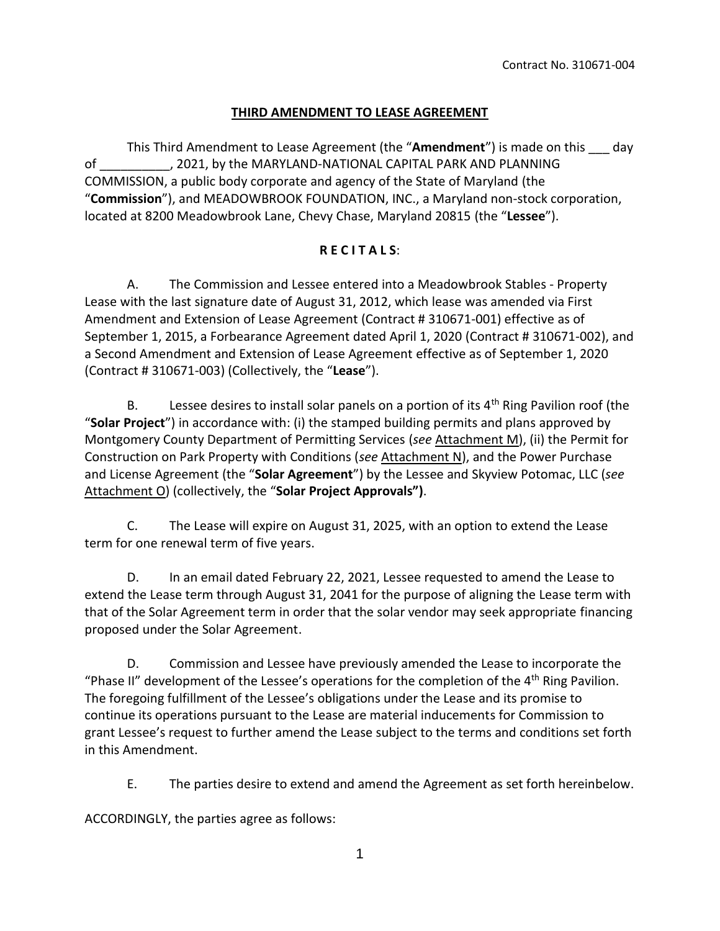## **THIRD AMENDMENT TO LEASE AGREEMENT**

This Third Amendment to Lease Agreement (the "**Amendment**") is made on this \_\_\_ day of \_\_\_\_\_\_\_\_\_\_, 2021, by the MARYLAND-NATIONAL CAPITAL PARK AND PLANNING COMMISSION, a public body corporate and agency of the State of Maryland (the "**Commission**"), and MEADOWBROOK FOUNDATION, INC., a Maryland non-stock corporation, located at 8200 Meadowbrook Lane, Chevy Chase, Maryland 20815 (the "**Lessee**").

### **R E C I T A L S**:

A. The Commission and Lessee entered into a Meadowbrook Stables - Property Lease with the last signature date of August 31, 2012, which lease was amended via First Amendment and Extension of Lease Agreement (Contract # 310671-001) effective as of September 1, 2015, a Forbearance Agreement dated April 1, 2020 (Contract # 310671-002), and a Second Amendment and Extension of Lease Agreement effective as of September 1, 2020 (Contract # 310671-003) (Collectively, the "**Lease**").

B. Lessee desires to install solar panels on a portion of its  $4<sup>th</sup>$  Ring Pavilion roof (the "**Solar Project**") in accordance with: (i) the stamped building permits and plans approved by Montgomery County Department of Permitting Services (*see* Attachment M), (ii) the Permit for Construction on Park Property with Conditions (*see* Attachment N), and the Power Purchase and License Agreement (the "**Solar Agreement**") by the Lessee and Skyview Potomac, LLC (*see* Attachment O) (collectively, the "**Solar Project Approvals")**.

C. The Lease will expire on August 31, 2025, with an option to extend the Lease term for one renewal term of five years.

D. In an email dated February 22, 2021, Lessee requested to amend the Lease to extend the Lease term through August 31, 2041 for the purpose of aligning the Lease term with that of the Solar Agreement term in order that the solar vendor may seek appropriate financing proposed under the Solar Agreement.

D. Commission and Lessee have previously amended the Lease to incorporate the "Phase II" development of the Lessee's operations for the completion of the  $4<sup>th</sup>$  Ring Pavilion. The foregoing fulfillment of the Lessee's obligations under the Lease and its promise to continue its operations pursuant to the Lease are material inducements for Commission to grant Lessee's request to further amend the Lease subject to the terms and conditions set forth in this Amendment.

E. The parties desire to extend and amend the Agreement as set forth hereinbelow.

ACCORDINGLY, the parties agree as follows: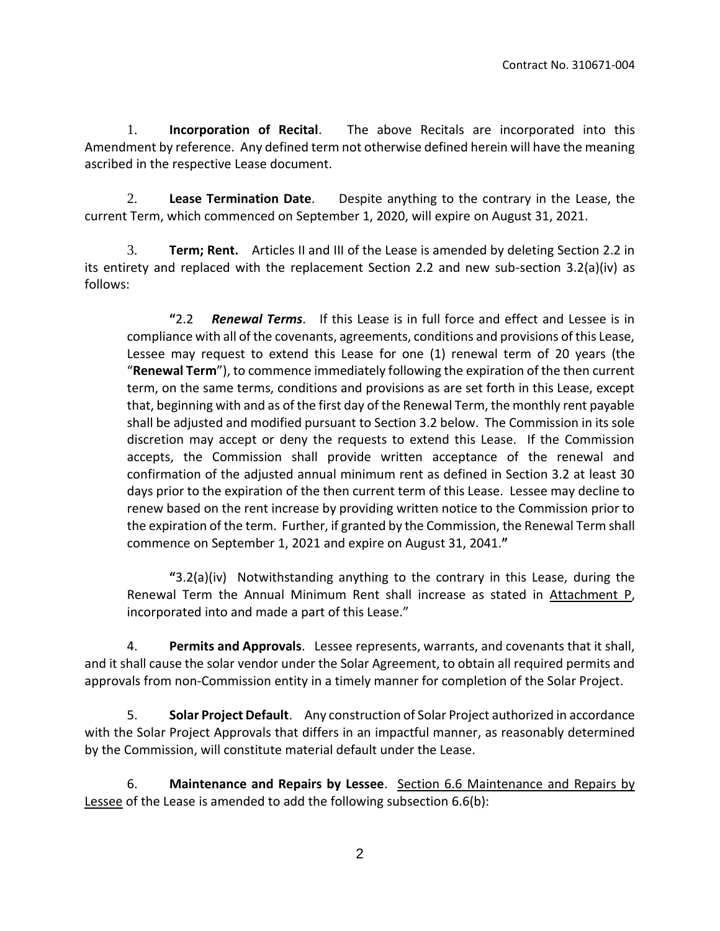1. **Incorporation of Recital**.The above Recitals are incorporated into this Amendment by reference. Any defined term not otherwise defined herein will have the meaning ascribed in the respective Lease document.

2. **Lease Termination Date**. Despite anything to the contrary in the Lease, the current Term, which commenced on September 1, 2020, will expire on August 31, 2021.

3. **Term; Rent.** Articles II and III of the Lease is amended by deleting Section 2.2 in its entirety and replaced with the replacement Section 2.2 and new sub-section 3.2(a)(iv) as follows:

**"**2.2 *Renewal Terms*. If this Lease is in full force and effect and Lessee is in compliance with all of the covenants, agreements, conditions and provisions of this Lease, Lessee may request to extend this Lease for one (1) renewal term of 20 years (the "**Renewal Term**"), to commence immediately following the expiration of the then current term, on the same terms, conditions and provisions as are set forth in this Lease, except that, beginning with and as of the first day of the Renewal Term, the monthly rent payable shall be adjusted and modified pursuant to Section 3.2 below. The Commission in its sole discretion may accept or deny the requests to extend this Lease. If the Commission accepts, the Commission shall provide written acceptance of the renewal and confirmation of the adjusted annual minimum rent as defined in Section 3.2 at least 30 days prior to the expiration of the then current term of this Lease. Lessee may decline to renew based on the rent increase by providing written notice to the Commission prior to the expiration of the term. Further, if granted by the Commission, the Renewal Term shall commence on September 1, 2021 and expire on August 31, 2041.**"**

**"**3.2(a)(iv) Notwithstanding anything to the contrary in this Lease, during the Renewal Term the Annual Minimum Rent shall increase as stated in Attachment P, incorporated into and made a part of this Lease."

4. **Permits and Approvals**. Lessee represents, warrants, and covenants that it shall, and it shall cause the solar vendor under the Solar Agreement, to obtain all required permits and approvals from non-Commission entity in a timely manner for completion of the Solar Project.

5. **Solar Project Default**. Any construction of Solar Project authorized in accordance with the Solar Project Approvals that differs in an impactful manner, as reasonably determined by the Commission, will constitute material default under the Lease.

6. **Maintenance and Repairs by Lessee**. Section 6.6 Maintenance and Repairs by Lessee of the Lease is amended to add the following subsection 6.6(b):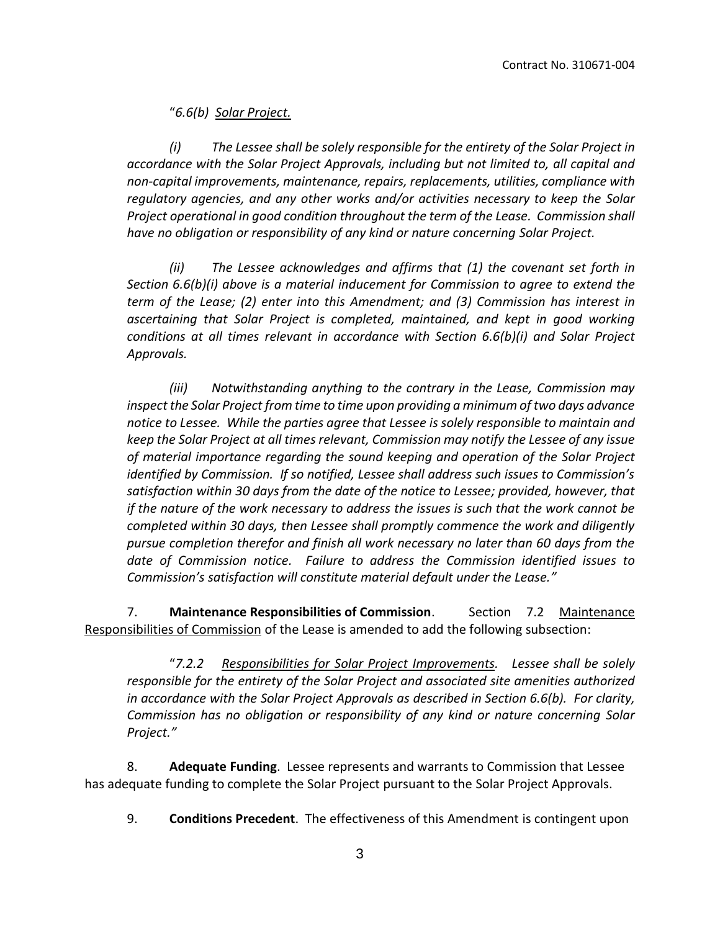"*6.6(b) Solar Project.*

*(i) The Lessee shall be solely responsible for the entirety of the Solar Project in accordance with the Solar Project Approvals, including but not limited to, all capital and non-capital improvements, maintenance, repairs, replacements, utilities, compliance with regulatory agencies, and any other works and/or activities necessary to keep the Solar Project operational in good condition throughout the term of the Lease. Commission shall have no obligation or responsibility of any kind or nature concerning Solar Project.*

*(ii) The Lessee acknowledges and affirms that (1) the covenant set forth in Section 6.6(b)(i) above is a material inducement for Commission to agree to extend the term of the Lease; (2) enter into this Amendment; and (3) Commission has interest in ascertaining that Solar Project is completed, maintained, and kept in good working conditions at all times relevant in accordance with Section 6.6(b)(i) and Solar Project Approvals.*

*(iii) Notwithstanding anything to the contrary in the Lease, Commission may inspect the Solar Project from time to time upon providing a minimum of two days advance notice to Lessee. While the parties agree that Lessee is solely responsible to maintain and keep the Solar Project at all times relevant, Commission may notify the Lessee of any issue of material importance regarding the sound keeping and operation of the Solar Project identified by Commission. If so notified, Lessee shall address such issues to Commission's satisfaction within 30 days from the date of the notice to Lessee; provided, however, that if the nature of the work necessary to address the issues is such that the work cannot be completed within 30 days, then Lessee shall promptly commence the work and diligently pursue completion therefor and finish all work necessary no later than 60 days from the date of Commission notice. Failure to address the Commission identified issues to Commission's satisfaction will constitute material default under the Lease."*

7. **Maintenance Responsibilities of Commission**. Section 7.2 Maintenance Responsibilities of Commission of the Lease is amended to add the following subsection:

"*7.2.2 Responsibilities for Solar Project Improvements. Lessee shall be solely responsible for the entirety of the Solar Project and associated site amenities authorized in accordance with the Solar Project Approvals as described in Section 6.6(b). For clarity, Commission has no obligation or responsibility of any kind or nature concerning Solar Project."*

8. **Adequate Funding**. Lessee represents and warrants to Commission that Lessee has adequate funding to complete the Solar Project pursuant to the Solar Project Approvals.

9. **Conditions Precedent**. The effectiveness of this Amendment is contingent upon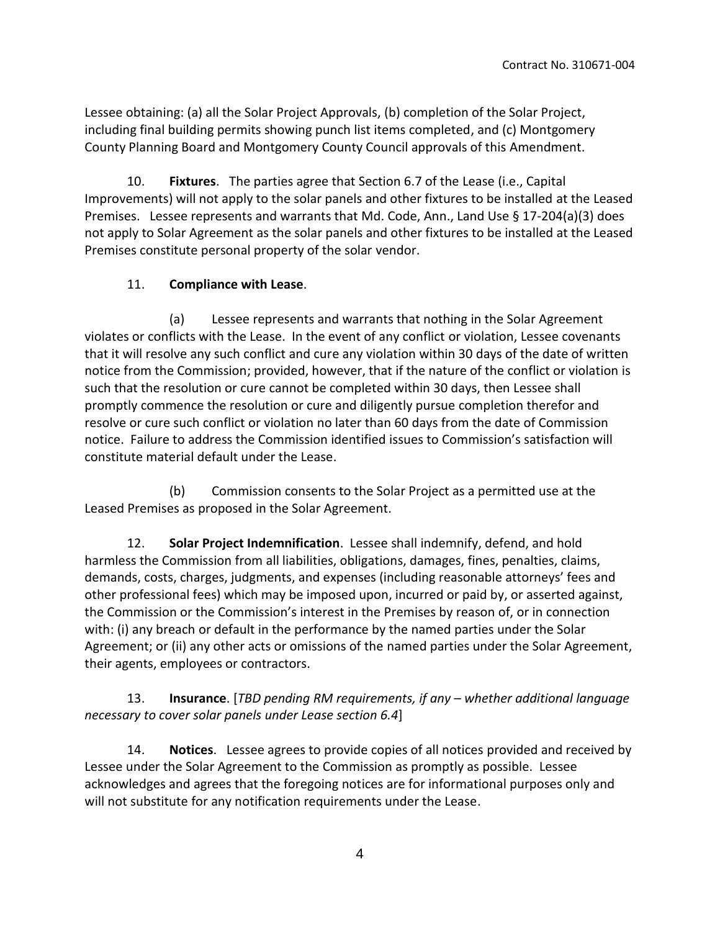Lessee obtaining: (a) all the Solar Project Approvals, (b) completion of the Solar Project, including final building permits showing punch list items completed, and (c) Montgomery County Planning Board and Montgomery County Council approvals of this Amendment.

10. **Fixtures**. The parties agree that Section 6.7 of the Lease (i.e., Capital Improvements) will not apply to the solar panels and other fixtures to be installed at the Leased Premises. Lessee represents and warrants that Md. Code, Ann., Land Use § 17-204(a)(3) does not apply to Solar Agreement as the solar panels and other fixtures to be installed at the Leased Premises constitute personal property of the solar vendor.

### 11. **Compliance with Lease**.

(a) Lessee represents and warrants that nothing in the Solar Agreement violates or conflicts with the Lease. In the event of any conflict or violation, Lessee covenants that it will resolve any such conflict and cure any violation within 30 days of the date of written notice from the Commission; provided, however, that if the nature of the conflict or violation is such that the resolution or cure cannot be completed within 30 days, then Lessee shall promptly commence the resolution or cure and diligently pursue completion therefor and resolve or cure such conflict or violation no later than 60 days from the date of Commission notice. Failure to address the Commission identified issues to Commission's satisfaction will constitute material default under the Lease.

(b) Commission consents to the Solar Project as a permitted use at the Leased Premises as proposed in the Solar Agreement.

12. **Solar Project Indemnification**. Lessee shall indemnify, defend, and hold harmless the Commission from all liabilities, obligations, damages, fines, penalties, claims, demands, costs, charges, judgments, and expenses (including reasonable attorneys' fees and other professional fees) which may be imposed upon, incurred or paid by, or asserted against, the Commission or the Commission's interest in the Premises by reason of, or in connection with: (i) any breach or default in the performance by the named parties under the Solar Agreement; or (ii) any other acts or omissions of the named parties under the Solar Agreement, their agents, employees or contractors.

13. **Insurance**. [*TBD pending RM requirements, if any – whether additional language necessary to cover solar panels under Lease section 6.4*]

14. **Notices**. Lessee agrees to provide copies of all notices provided and received by Lessee under the Solar Agreement to the Commission as promptly as possible. Lessee acknowledges and agrees that the foregoing notices are for informational purposes only and will not substitute for any notification requirements under the Lease.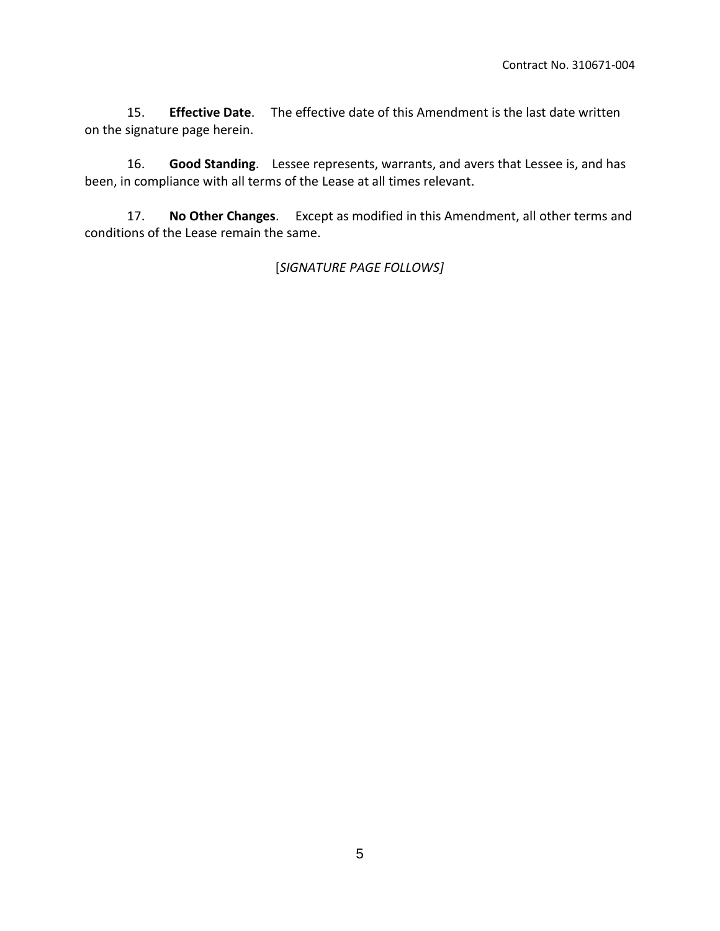15. **Effective Date**. The effective date of this Amendment is the last date written on the signature page herein.

16. **Good Standing**. Lessee represents, warrants, and avers that Lessee is, and has been, in compliance with all terms of the Lease at all times relevant.

17. **No Other Changes**. Except as modified in this Amendment, all other terms and conditions of the Lease remain the same.

## [*SIGNATURE PAGE FOLLOWS]*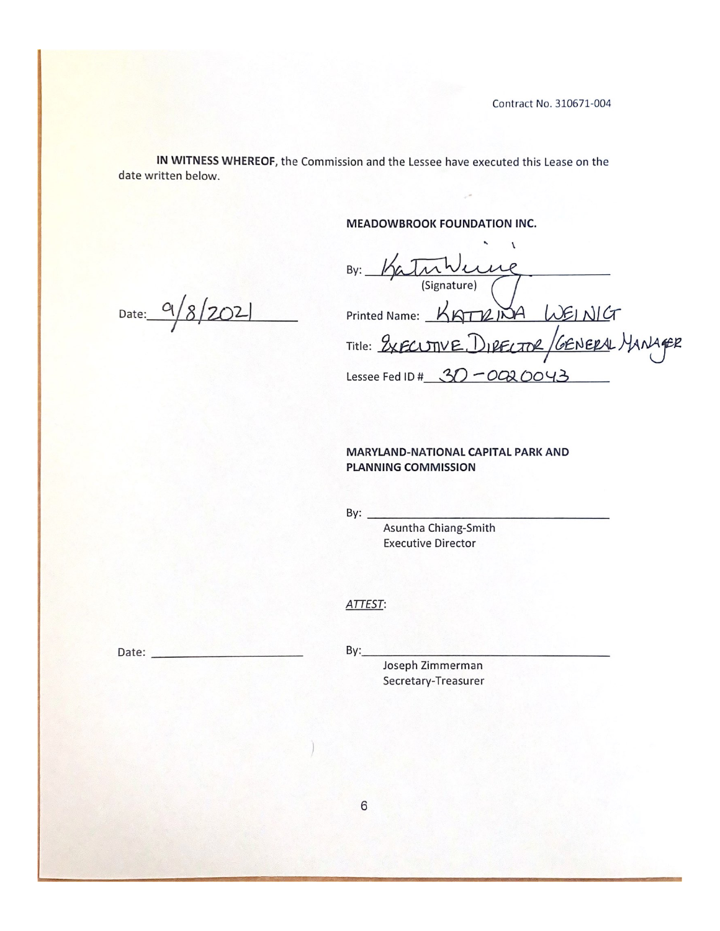IN WITNESS WHEREOF, the Commission and the Lessee have executed this Lease on the date written below.

**MEADOWBROOK FOUNDATION INC.** 

By: Katumure<br>(Signature)<br>Printed Name: KATIZINA WEINICT<br>Title: 2XECUTIVE.DIRECTOR / GENERAL MANAGER<br>Lessee Fed ID # 30-0020043

#### **MARYLAND-NATIONAL CAPITAL PARK AND** PLANNING COMMISSION

By:  $-$ 

Asuntha Chiang-Smith **Executive Director** 

#### ATTEST:

Date:  $9/8/202$ 

 $By:$ 

Joseph Zimmerman Secretary-Treasurer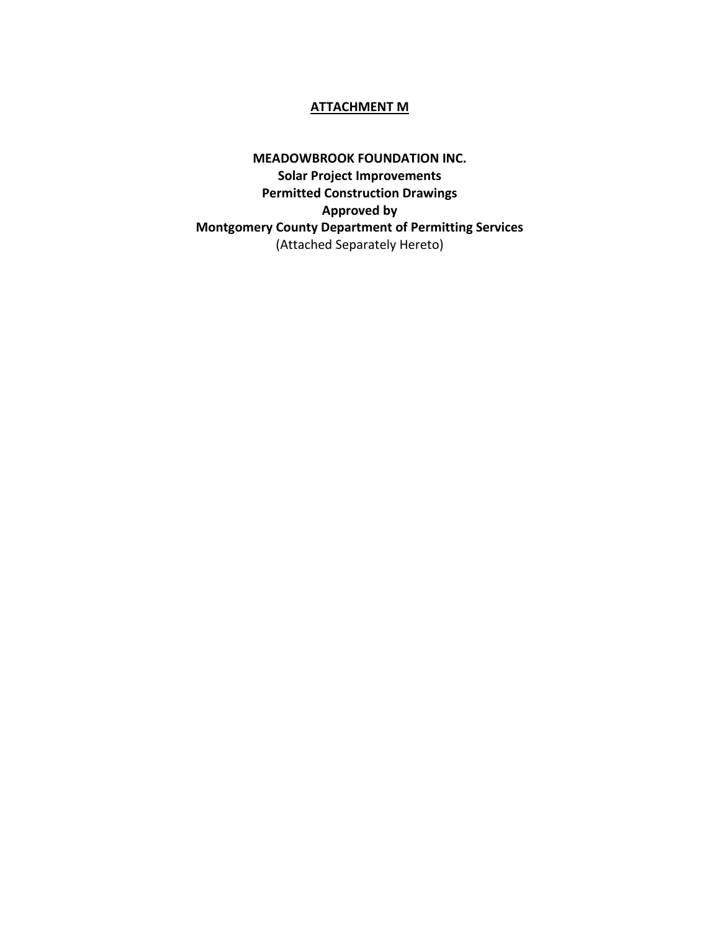#### **ATTACHMENT M**

**MEADOWBROOK FOUNDATION INC. Solar Project Improvements Permitted Construction Drawings Approved by Montgomery County Department of Permitting Services** (Attached Separately Hereto)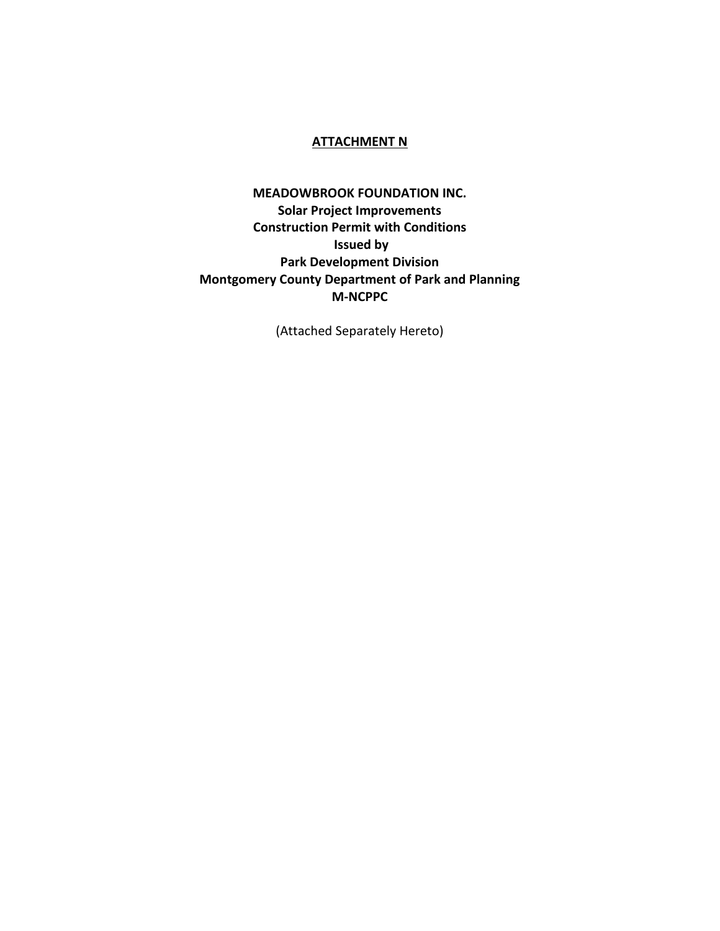#### **ATTACHMENT N**

## **MEADOWBROOK FOUNDATION INC. Solar Project Improvements Construction Permit with Conditions Issued by Park Development Division Montgomery County Department of Park and Planning M-NCPPC**

(Attached Separately Hereto)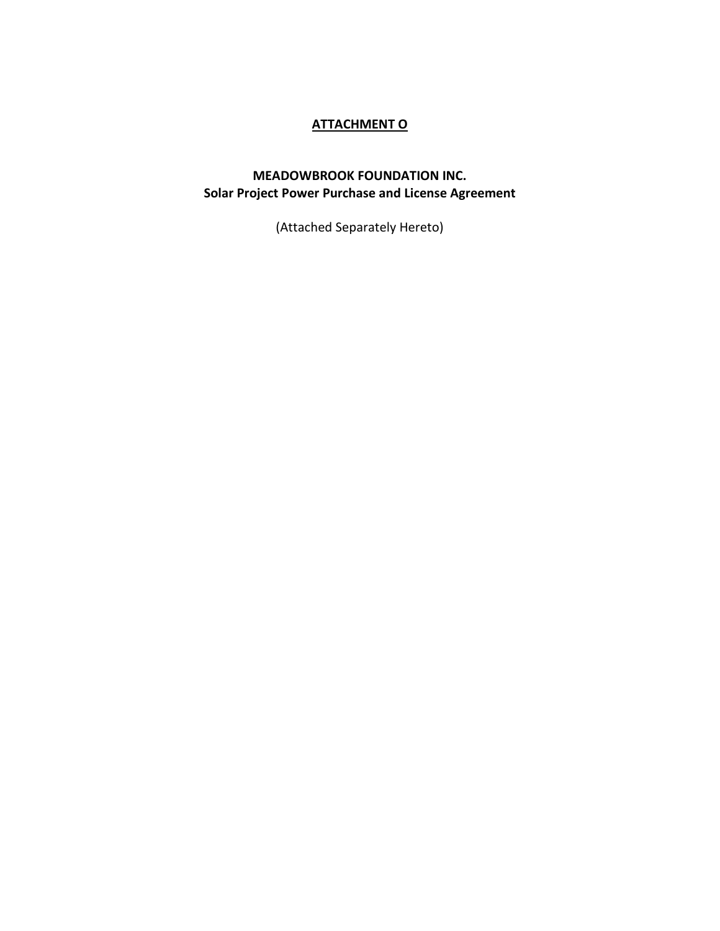# **ATTACHMENT O**

## **MEADOWBROOK FOUNDATION INC. Solar Project Power Purchase and License Agreement**

(Attached Separately Hereto)